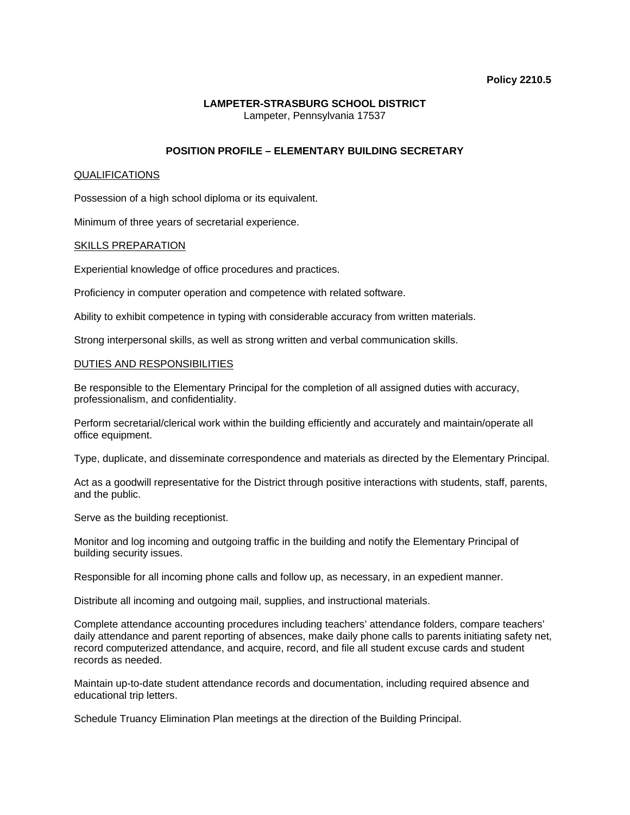## **Policy 2210.5**

## **LAMPETER-STRASBURG SCHOOL DISTRICT**  Lampeter, Pennsylvania 17537

## **POSITION PROFILE – ELEMENTARY BUILDING SECRETARY**

#### QUALIFICATIONS

Possession of a high school diploma or its equivalent.

Minimum of three years of secretarial experience.

#### SKILLS PREPARATION

Experiential knowledge of office procedures and practices.

Proficiency in computer operation and competence with related software.

Ability to exhibit competence in typing with considerable accuracy from written materials.

Strong interpersonal skills, as well as strong written and verbal communication skills.

#### DUTIES AND RESPONSIBILITIES

Be responsible to the Elementary Principal for the completion of all assigned duties with accuracy, professionalism, and confidentiality.

Perform secretarial/clerical work within the building efficiently and accurately and maintain/operate all office equipment.

Type, duplicate, and disseminate correspondence and materials as directed by the Elementary Principal.

Act as a goodwill representative for the District through positive interactions with students, staff, parents, and the public.

Serve as the building receptionist.

Monitor and log incoming and outgoing traffic in the building and notify the Elementary Principal of building security issues.

Responsible for all incoming phone calls and follow up, as necessary, in an expedient manner.

Distribute all incoming and outgoing mail, supplies, and instructional materials.

Complete attendance accounting procedures including teachers' attendance folders, compare teachers' daily attendance and parent reporting of absences, make daily phone calls to parents initiating safety net, record computerized attendance, and acquire, record, and file all student excuse cards and student records as needed.

Maintain up-to-date student attendance records and documentation, including required absence and educational trip letters.

Schedule Truancy Elimination Plan meetings at the direction of the Building Principal.